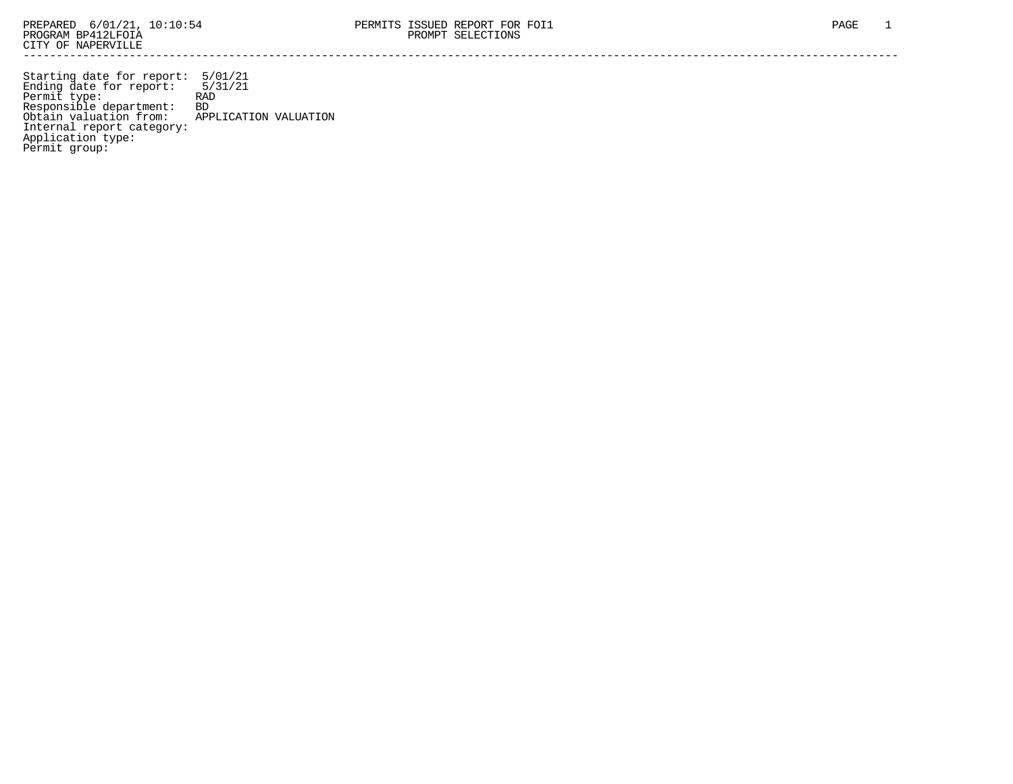Starting date for report: 5/01/21 Ending date for report: 5/31/21 Permit type: RAD Responsible department: BD Obtain valuation from: APPLICATION VALUATION Internal report category: Application type: Permit group: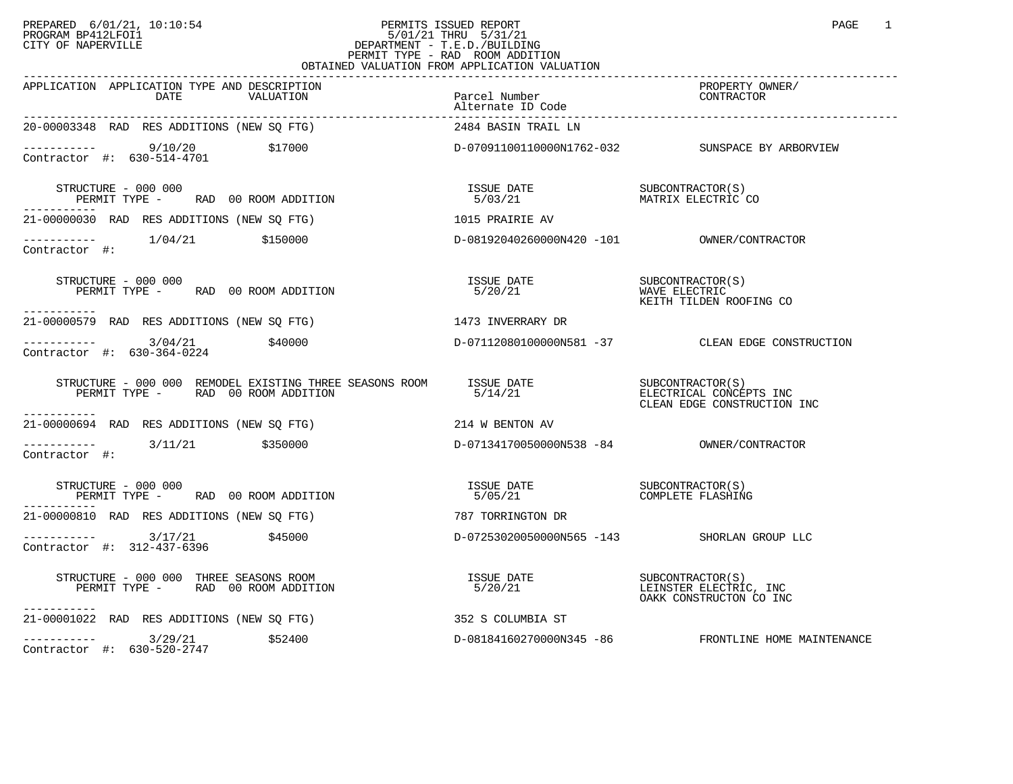## PREPARED 6/01/21, 10:10:54 PERMITS ISSUED REPORT PAGE 1<br>PROGRAM BP412LFOI1 PROGRAM PROGRAM BP412LFOI1 PROGRAM BP412LFOI1 5/01/21 THRU 5/31/21 CITY OF NAPERVILLE **Example 20** CITY OF NAPERVILLE PERMIT TYPE - RAD ROOM ADDITION OBTAINED VALUATION FROM APPLICATION VALUATION

| APPLICATION APPLICATION TYPE AND DESCRIPTION<br>VALUATION                                                                                                                                                                                                                                                                                       | Parcel Number<br>Alternate ID Code | PROPERTY OWNER/                                     |
|-------------------------------------------------------------------------------------------------------------------------------------------------------------------------------------------------------------------------------------------------------------------------------------------------------------------------------------------------|------------------------------------|-----------------------------------------------------|
| 20-00003348 RAD RES ADDITIONS (NEW SO FTG)                                                                                                                                                                                                                                                                                                      | 2484 BASIN TRAIL LN                |                                                     |
|                                                                                                                                                                                                                                                                                                                                                 |                                    |                                                     |
| STRUCTURE - 000 000                                                                                                                                                                                                                                                                                                                             |                                    |                                                     |
| 21-00000030 RAD RES ADDITIONS (NEW SQ FTG) 1015 PRAIRIE AV                                                                                                                                                                                                                                                                                      |                                    |                                                     |
|                                                                                                                                                                                                                                                                                                                                                 |                                    |                                                     |
| STRUCTURE - 000 000<br>PERMIT TYPE - RAD 00 ROOM ADDITION<br>-----------                                                                                                                                                                                                                                                                        |                                    |                                                     |
| 21-00000579 RAD RES ADDITIONS (NEW SQ FTG) 1473 INVERRARY DR                                                                                                                                                                                                                                                                                    |                                    |                                                     |
| ---------- 3/04/21    \$40000    \$40000    \$40000    \$40000    \$40000    \$40000    \$40000    \$40000    \$40000<br>Contractor #: 630-364-0224                                                                                                                                                                                             |                                    |                                                     |
| $\begin{array}{cccc} \texttt{STRUCTURE} & - & 000 & 000 & \texttt{REMDDEL EXISTING} \texttt{TIREE} & \texttt{SEASONS ROM} & \texttt{ISSUE DATE} & \texttt{SUE COTTRACTOR(S)} \\ \texttt{PERMIT TYPE} & - & \texttt{RAD} & 00\texttt{ ROM ADDITION} & \texttt{5/14/21} & \texttt{SUE CLEAN EDE CONSTRUCTION INC} \\ \end{array}$<br>------------ |                                    |                                                     |
| 21-00000694 RAD RES ADDITIONS (NEW SQ FTG) 214 W BENTON AV                                                                                                                                                                                                                                                                                      |                                    |                                                     |
| ----------     3/11/21      \$350000              D-07134170050000N538 -84        OWNER/CONTRACTOR<br>Contractor #:                                                                                                                                                                                                                             |                                    |                                                     |
| STRUCTURE - 000 000<br>$PERMIT TYPE$ – RAD 00 ROOM ADDITION                                                                                                                                                                                                                                                                                     |                                    |                                                     |
| 21-00000810 RAD RES ADDITIONS (NEW SO FTG)                                                                                                                                                                                                                                                                                                      | 787 TORRINGTON DR                  |                                                     |
| $------ 3/17/21$ \$45000<br>Contractor #: 312-437-6396                                                                                                                                                                                                                                                                                          |                                    | D-07253020050000N565 -143 SHORLAN GROUP LLC         |
| RUCTURE - 000 000 THREE SEASONS ROOM<br>PERMIT TYPE -     RAD 00 ROOM ADDITION<br>STRUCTURE - 000 000 THREE SEASONS ROOM<br>-----------                                                                                                                                                                                                         |                                    | OAKK CONSTRUCTON CO INC                             |
| 21-00001022 RAD RES ADDITIONS (NEW SQ FTG) 352 S COLUMBIA ST                                                                                                                                                                                                                                                                                    |                                    |                                                     |
| $\begin{array}{cccc}\n & 3/29/21 & 552400 \\ \text{Contractor} & +: & 630-520-2747 & \end{array}$                                                                                                                                                                                                                                               |                                    | D-08184160270000N345 -86 FRONTLINE HOME MAINTENANCE |